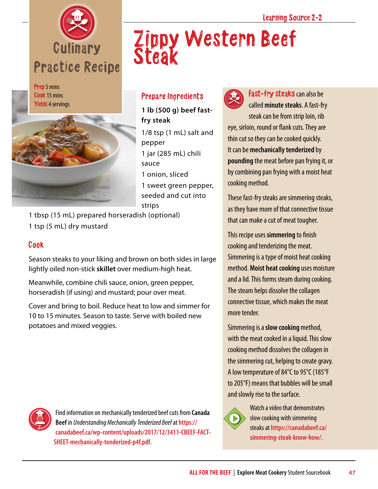

Prep 5 mins Cook 15 mins Yields 4 servings



## Steak

Zippy Western Beef

## Prepare Ingredients

**1 lb (500 g) beef fastfry steak**

1/8 tsp (1 mL) salt and pepper 1 jar (285 mL) chili sauce

1 onion, sliced

1 sweet green pepper, seeded and cut into strips

1 tbsp (15 mL) prepared horseradish (optional) 1 tsp (5 mL) dry mustard

## Cook

Season steaks to your liking and brown on both sides in large lightly oiled non-stick **skillet** over medium-high heat.

Meanwhile, combine chili sauce, onion, green pepper, horseradish (if using) and mustard; pour over meat.

Cover and bring to boil. Reduce heat to low and simmer for 10 to 15 minutes. Season to taste. Serve with boiled new potatoes and mixed veggies.



Fast-fry steaks can also be called **minute steaks**. A fast-fry steak can be from strip loin, rib eye, sirloin, round or flank cuts. They are thin cut so they can be cooked quickly. It can be **mechanically tenderized** by **pounding** the meat before pan frying it, or by combining pan frying with a moist heat cooking method.

These fast-fry steaks are simmering steaks, as they have more of that connective tissue that can make a cut of meat tougher.

This recipe uses **simmering** to finish cooking and tenderizing the meat. Simmering is a type of moist heat cooking method. **Moist heat cooking** uses moisture and a lid. This forms steam during cooking. The steam helps dissolve the collagen connective tissue, which makes the meat more tender.

Simmering is a **slow cooking** method, with the meat cooked in a liquid. This slow cooking method dissolves the collagen in the simmering cut, helping to create gravy. A low temperature of 84°C to 95°C (185°F to 205°F) means that bubbles will be small and slowly rise to the surface.



Watch a video that demonstrates slow cooking with simmering steaks at **[https://canadabeef.ca/](https://canadabeef.ca/simmering-steak-know-how/) [simmering-steak-know-how/](https://canadabeef.ca/simmering-steak-know-how/)**.



Find information on mechanically tenderized beef cuts from **Canada Beef** in *Understanding Mechanically Tenderized Beef* at **[https://](https://canadabeef.ca/wp-content/uploads/2017/12/3411-CBEEF-FACT-SHEET-mechanically-tenderized-p4f.pdf) [canadabeef.ca/wp-content/uploads/2017/12/3411-CBEEF-FACT-](https://canadabeef.ca/wp-content/uploads/2017/12/3411-CBEEF-FACT-SHEET-mechanically-tenderized-p4f.pdf)[SHEET-mechanically-tenderized-p4f.pdf](https://canadabeef.ca/wp-content/uploads/2017/12/3411-CBEEF-FACT-SHEET-mechanically-tenderized-p4f.pdf)**.